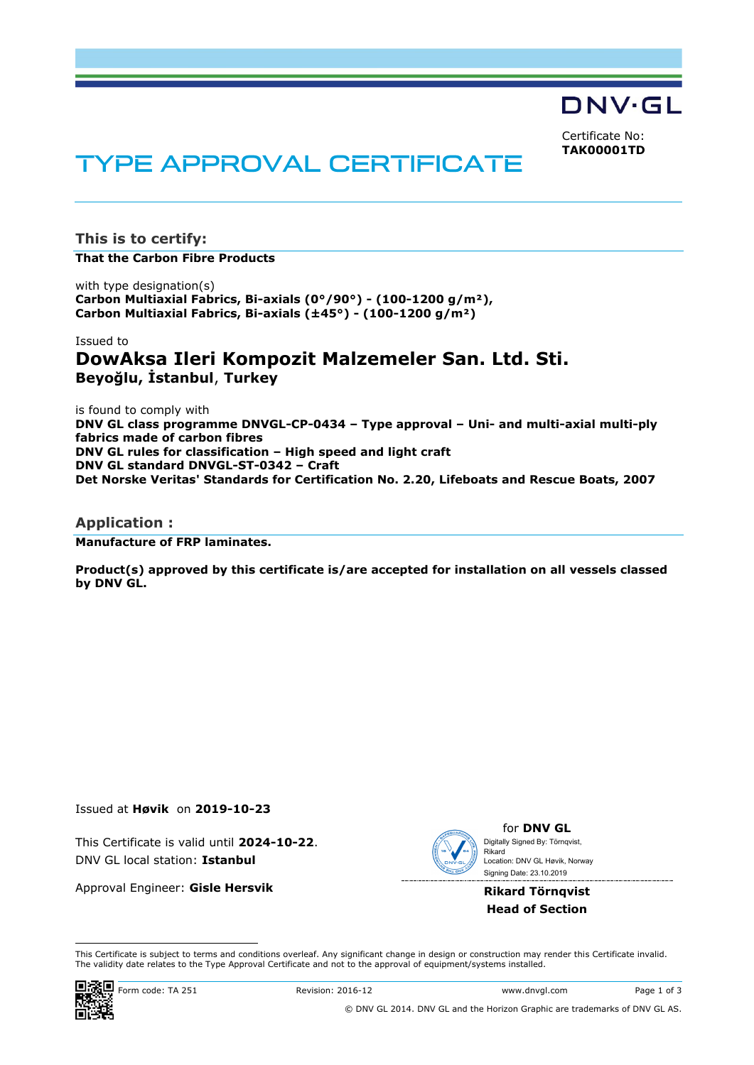DNV·GL

Certificate No: **TAK00001TD**

# **TYPE APPROVAL CERTIFICATE**

**This is to certify:**

**That the Carbon Fibre Products**

with type designation(s) **Carbon Multiaxial Fabrics, Bi-axials (0°/90°) - (100-1200 g/m²), Carbon Multiaxial Fabrics, Bi-axials (±45°) - (100-1200 g/m²)**

# Issued to **DowAksa Ileri Kompozit Malzemeler San. Ltd. Sti. Beyoğlu, İstanbul**, **Turkey**

is found to comply with **DNV GL class programme DNVGL-CP-0434 – Type approval – Uni- and multi-axial multi-ply fabrics made of carbon fibres DNV GL rules for classification – High speed and light craft DNV GL standard DNVGL-ST-0342 – Craft Det Norske Veritas' Standards for Certification No. 2.20, Lifeboats and Rescue Boats, 2007**

#### **Application :**

**Manufacture of FRP laminates.**

**Product(s) approved by this certificate is/are accepted for installation on all vessels classed by DNV GL.**

#### Issued at **Høvik** on **2019-10-23**

This Certificate is valid until **2024-10-22**. DNV GL local station: **Istanbul**

Approval Engineer: **Gisle Hersvik**



for **DNV GL** Signing Date: 23.10.2019 Digitally Signed By: Törnqvist, Rikard Location: DNV GL Høvik, Norway

**Rikard Törnqvist Head of Section**

 This Certificate is subject to terms and conditions overleaf. Any significant change in design or construction may render this Certificate invalid. The validity date relates to the Type Approval Certificate and not to the approval of equipment/systems installed.

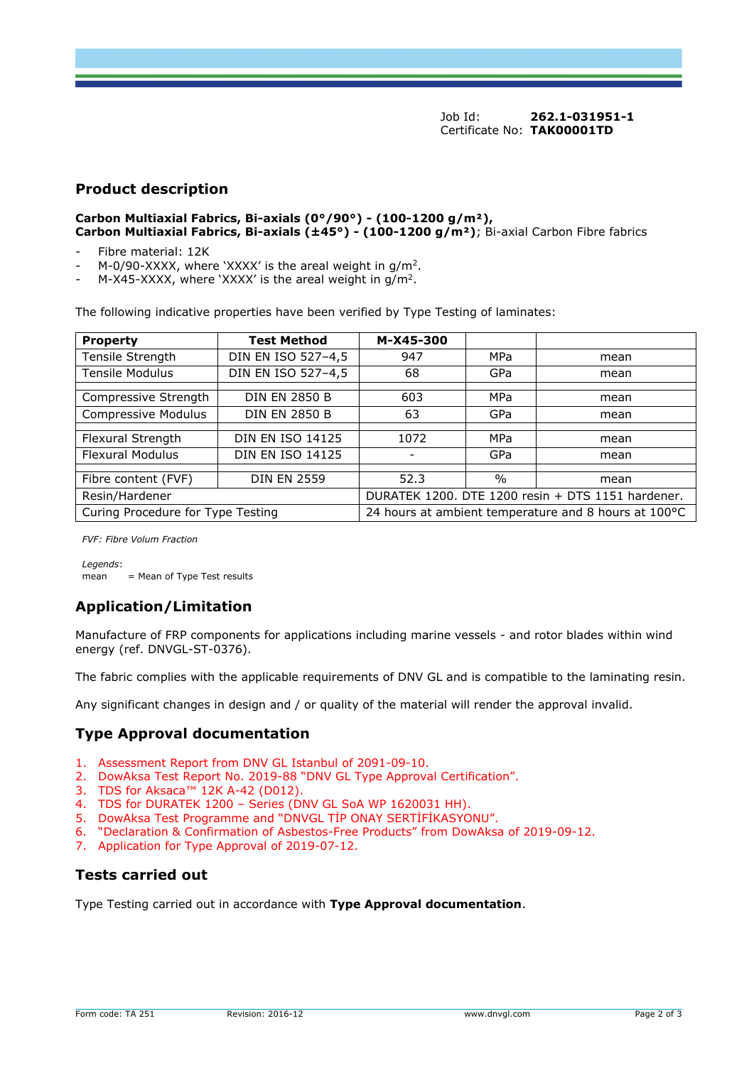Job Id: **262.1-031951-1** Certificate No: **TAK00001TD**

#### **Product description**

**Carbon Multiaxial Fabrics, Bi-axials (0°/90°) - (100-1200 g/m²), Carbon Multiaxial Fabrics, Bi-axials (±45°) - (100-1200 g/m²)**; Bi-axial Carbon Fibre fabrics

- Fibre material: 12K
- M-0/90-XXXX, where 'XXXX' is the areal weight in  $g/m^2$ .
- M-X45-XXXX, where 'XXXX' is the areal weight in  $g/m^2$ .

The following indicative properties have been verified by Type Testing of laminates:

| <b>Property</b>                   | <b>Test Method</b>      | M-X45-300                                            |               |      |
|-----------------------------------|-------------------------|------------------------------------------------------|---------------|------|
| Tensile Strength                  | DIN EN ISO 527-4,5      | 947                                                  | MPa           | mean |
| <b>Tensile Modulus</b>            | DIN EN ISO 527-4,5      | 68                                                   | GPa           | mean |
|                                   |                         |                                                      |               |      |
| Compressive Strength              | <b>DIN EN 2850 B</b>    | 603                                                  | MPa           | mean |
| Compressive Modulus               | <b>DIN EN 2850 B</b>    | 63                                                   | GPa           | mean |
|                                   |                         |                                                      |               |      |
| Flexural Strength                 | <b>DIN EN ISO 14125</b> | 1072                                                 | MPa           | mean |
| <b>Flexural Modulus</b>           | <b>DIN EN ISO 14125</b> |                                                      | GPa           | mean |
|                                   |                         |                                                      |               |      |
| Fibre content (FVF)               | <b>DIN EN 2559</b>      | 52.3                                                 | $\frac{0}{0}$ | mean |
| Resin/Hardener                    |                         | DURATEK 1200. DTE 1200 resin + DTS 1151 hardener.    |               |      |
| Curing Procedure for Type Testing |                         | 24 hours at ambient temperature and 8 hours at 100°C |               |      |

*FVF: Fibre Volum Fraction*

*Legends*: mean = Mean of Type Test results

## **Application/Limitation**

Manufacture of FRP components for applications including marine vessels - and rotor blades within wind energy (ref. DNVGL-ST-0376).

The fabric complies with the applicable requirements of DNV GL and is compatible to the laminating resin.

Any significant changes in design and / or quality of the material will render the approval invalid.

## **Type Approval documentation**

- 1. Assessment Report from DNV GL Istanbul of 2091-09-10.
- 2. DowAksa Test Report No. 2019-88 "DNV GL Type Approval Certification".
- 3. TDS for Aksaca™ 12K A-42 (D012).
- 4. TDS for DURATEK 1200 Series (DNV GL SoA WP 1620031 HH).
- 5. DowAksa Test Programme and "DNVGL TİP ONAY SERTİFİKASYONU".
- 6. "Declaration & Confirmation of Asbestos-Free Products" from DowAksa of 2019-09-12.
- 7. Application for Type Approval of 2019-07-12.

## **Tests carried out**

Type Testing carried out in accordance with **Type Approval documentation**.